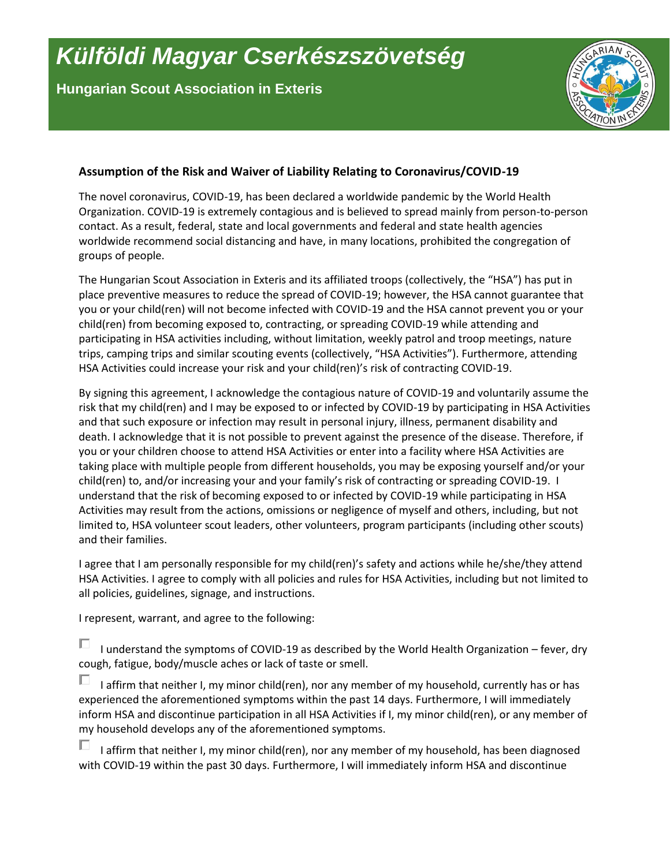## *Külföldi Magyar Cserkészszövetség*

**Hungarian Scout Association in Exteris**



## **Assumption of the Risk and Waiver of Liability Relating to Coronavirus/COVID-19**

The novel coronavirus, COVID-19, has been declared a worldwide pandemic by the World Health Organization. COVID-19 is extremely contagious and is believed to spread mainly from person-to-person contact. As a result, federal, state and local governments and federal and state health agencies worldwide recommend social distancing and have, in many locations, prohibited the congregation of groups of people.

The Hungarian Scout Association in Exteris and its affiliated troops (collectively, the "HSA") has put in place preventive measures to reduce the spread of COVID-19; however, the HSA cannot guarantee that you or your child(ren) will not become infected with COVID-19 and the HSA cannot prevent you or your child(ren) from becoming exposed to, contracting, or spreading COVID-19 while attending and participating in HSA activities including, without limitation, weekly patrol and troop meetings, nature trips, camping trips and similar scouting events (collectively, "HSA Activities"). Furthermore, attending HSA Activities could increase your risk and your child(ren)'s risk of contracting COVID-19.

By signing this agreement, I acknowledge the contagious nature of COVID-19 and voluntarily assume the risk that my child(ren) and I may be exposed to or infected by COVID-19 by participating in HSA Activities and that such exposure or infection may result in personal injury, illness, permanent disability and death. I acknowledge that it is not possible to prevent against the presence of the disease. Therefore, if you or your children choose to attend HSA Activities or enter into a facility where HSA Activities are taking place with multiple people from different households, you may be exposing yourself and/or your child(ren) to, and/or increasing your and your family's risk of contracting or spreading COVID-19. I understand that the risk of becoming exposed to or infected by COVID-19 while participating in HSA Activities may result from the actions, omissions or negligence of myself and others, including, but not limited to, HSA volunteer scout leaders, other volunteers, program participants (including other scouts) and their families.

I agree that I am personally responsible for my child(ren)'s safety and actions while he/she/they attend HSA Activities. I agree to comply with all policies and rules for HSA Activities, including but not limited to all policies, guidelines, signage, and instructions.

I represent, warrant, and agree to the following:

I understand the symptoms of COVID-19 as described by the World Health Organization – fever, dry cough, fatigue, body/muscle aches or lack of taste or smell.

I affirm that neither I, my minor child(ren), nor any member of my household, currently has or has experienced the aforementioned symptoms within the past 14 days. Furthermore, I will immediately inform HSA and discontinue participation in all HSA Activities if I, my minor child(ren), or any member of my household develops any of the aforementioned symptoms.

 $\Box$ I affirm that neither I, my minor child(ren), nor any member of my household, has been diagnosed with COVID-19 within the past 30 days. Furthermore, I will immediately inform HSA and discontinue